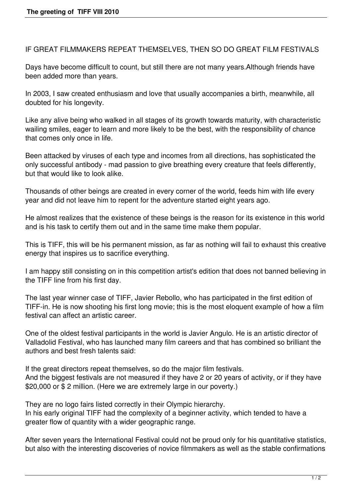IF GREAT FILMMAKERS REPEAT THEMSELVES, THEN SO DO GREAT FILM FESTIVALS

Days have become difficult to count, but still there are not many years.Although friends have been added more than years.

In 2003, I saw created enthusiasm and love that usually accompanies a birth, meanwhile, all doubted for his longevity.

Like any alive being who walked in all stages of its growth towards maturity, with characteristic wailing smiles, eager to learn and more likely to be the best, with the responsibility of chance that comes only once in life.

Been attacked by viruses of each type and incomes from all directions, has sophisticated the only successful antibody - mad passion to give breathing every creature that feels differently, but that would like to look alike.

Thousands of other beings are created in every corner of the world, feeds him with life every year and did not leave him to repent for the adventure started eight years ago.

He almost realizes that the existence of these beings is the reason for its existence in this world and is his task to certify them out and in the same time make them popular.

This is TIFF, this will be his permanent mission, as far as nothing will fail to exhaust this creative energy that inspires us to sacrifice everything.

I am happy still consisting on in this competition artist's edition that does not banned believing in the TIFF line from his first day.

The last year winner case of TIFF, Javier Rebollo, who has participated in the first edition of TIFF-in. He is now shooting his first long movie; this is the most eloquent example of how a film festival can affect an artistic career.

One of the oldest festival participants in the world is Javier Angulo. He is an artistic director of Valladolid Festival, who has launched many film careers and that has combined so brilliant the authors and best fresh talents said:

If the great directors repeat themselves, so do the major film festivals. And the biggest festivals are not measured if they have 2 or 20 years of activity, or if they have \$20,000 or \$ 2 million. (Here we are extremely large in our poverty.)

They are no logo fairs listed correctly in their Olympic hierarchy. In his early original TIFF had the complexity of a beginner activity, which tended to have a greater flow of quantity with a wider geographic range.

After seven years the International Festival could not be proud only for his quantitative statistics, but also with the interesting discoveries of novice filmmakers as well as the stable confirmations